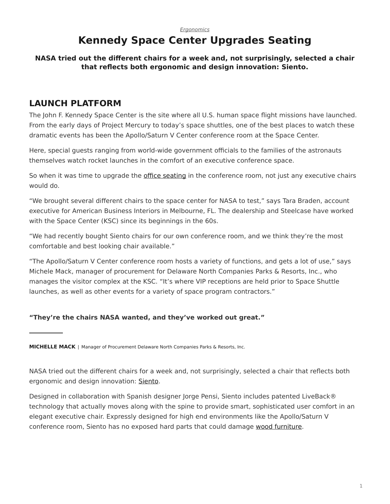# **Kennedy Space Center Upgrades Seating**

#### <span id="page-0-0"></span>**NASA tried out the different chairs for a week and, not surprisingly, selected a chair that reflects both ergonomic and design innovation: Siento.**

## **LAUNCH PLATFORM**

The John F. Kennedy Space Center is the site where all U.S. human space flight missions have launched. From the early days of Project Mercury to today's space shuttles, one of the best places to watch these dramatic events has been the Apollo/Saturn V Center conference room at the Space Center.

Here, special guests ranging from world-wide government officials to the families of the astronauts themselves watch rocket launches in the comfort of an executive conference space.

So when it was time to upgrade the [office seating](https://www.steelcase.com/products/office-chairs/) in the conference room, not just any executive chairs would do.

"We brought several different chairs to the space center for NASA to test," says Tara Braden, account executive for American Business Interiors in Melbourne, FL. The dealership and Steelcase have worked with the Space Center (KSC) since its beginnings in the 60s.

"We had recently bought Siento chairs for our own conference room, and we think they're the most comfortable and best looking chair available."

"The Apollo/Saturn V Center conference room hosts a variety of functions, and gets a lot of use," says Michele Mack, manager of procurement for Delaware North Companies Parks & Resorts, Inc., who manages the visitor complex at the KSC. "It's where VIP receptions are held prior to Space Shuttle launches, as well as other events for a variety of space program contractors."

#### **"They're the chairs NASA wanted, and they've worked out great."**

NASA tried out the different chairs for a week and, not surprisingly, selected a chair that reflects both ergonomic and design innovation: [Siento.](https://www.steelcase.com/products/office-chairs/siento/)

Designed in collaboration with Spanish designer Jorge Pensi, Siento includes patented LiveBack® technology that actually moves along with the spine to provide smart, sophisticated user comfort in an elegant executive chair. Expressly designed for high end environments like the Apollo/Saturn V conference room, Siento has no exposed hard parts that could damage [wood furniture](https://www.steelcase.com/wood-solutions/).

**MICHELLE MACK** | Manager of Procurement Delaware North Companies Parks & Resorts, Inc.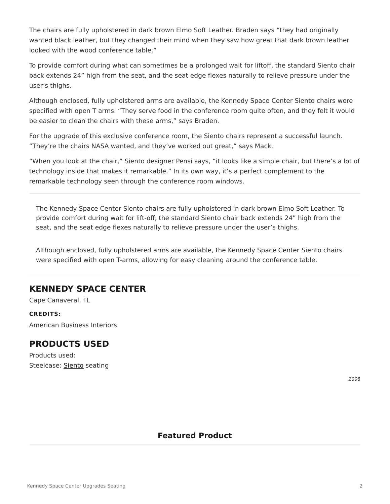The chairs are fully upholstered in dark brown Elmo Soft Leather. Braden says "they had originally wanted black leather, but they changed their mind when they saw how great that dark brown leather looked with the wood conference table."

To provide comfort during what can sometimes be a prolonged wait for liftoff, the standard Siento chair back extends 24" high from the seat, and the seat edge flexes naturally to relieve pressure under the user's thighs.

Although enclosed, fully upholstered arms are available, the Kennedy Space Center Siento chairs were specified with open T arms. "They serve food in the conference room quite often, and they felt it would be easier to clean the chairs with these arms," says Braden.

For the upgrade of this exclusive conference room, the Siento chairs represent a successful launch. "They're the chairs NASA wanted, and they've worked out great," says Mack.

"When you look at the chair," Siento designer Pensi says, "it looks like a simple chair, but there's a lot of technology inside that makes it remarkable." In its own way, it's a perfect complement to the remarkable technology seen through the conference room windows.

The Kennedy Space Center Siento chairs are fully upholstered in dark brown Elmo Soft Leather. To provide comfort during wait for lift-off, the standard Siento chair back extends 24" high from the seat, and the seat edge flexes naturally to relieve pressure under the user's thighs.

Although enclosed, fully upholstered arms are available, the Kennedy Space Center Siento chairs were specified with open T-arms, allowing for easy cleaning around the conference table.

## **KENNEDY SPACE CENTER**

Cape Canaveral, FL

#### **CREDITS:**

American Business Interiors

## **PRODUCTS USED**

Products used: Steelcase: [Siento](https://www.steelcase.com/products/office-chairs/siento/) seating

*2008*

## **Featured Product**